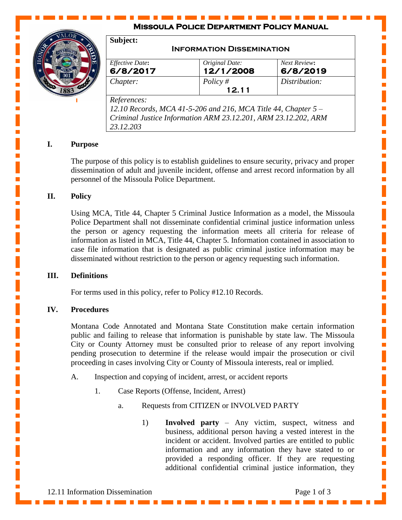## **Missoula Police Department Policy Manual**



| Subject:                    |                                                                                                                                   |                          |
|-----------------------------|-----------------------------------------------------------------------------------------------------------------------------------|--------------------------|
|                             | <b>INFORMATION DISSEMINATION</b>                                                                                                  |                          |
| Effective Date:<br>6/8/2017 | Original Date:<br>12/1/2008                                                                                                       | Next Review:<br>6/8/2019 |
| Chapter:                    | Policy $#$<br>12.11                                                                                                               | Distribution:            |
| References:<br>23.12.203    | 12.10 Records, MCA 41-5-206 and 216, MCA Title 44, Chapter $5-$<br>Criminal Justice Information ARM 23.12.201, ARM 23.12.202, ARM |                          |

### **I. Purpose**

The purpose of this policy is to establish guidelines to ensure security, privacy and proper dissemination of adult and juvenile incident, offense and arrest record information by all personnel of the Missoula Police Department.

#### **II. Policy**

Using MCA, Title 44, Chapter 5 Criminal Justice Information as a model, the Missoula Police Department shall not disseminate confidential criminal justice information unless the person or agency requesting the information meets all criteria for release of information as listed in MCA, Title 44, Chapter 5. Information contained in association to case file information that is designated as public criminal justice information may be disseminated without restriction to the person or agency requesting such information.

#### **III. Definitions**

For terms used in this policy, refer to Policy #12.10 Records.

#### **IV. Procedures**

Montana Code Annotated and Montana State Constitution make certain information public and failing to release that information is punishable by state law. The Missoula City or County Attorney must be consulted prior to release of any report involving pending prosecution to determine if the release would impair the prosecution or civil proceeding in cases involving City or County of Missoula interests, real or implied.

- A. Inspection and copying of incident, arrest, or accident reports
	- 1. Case Reports (Offense, Incident, Arrest)
		- a. Requests from CITIZEN or INVOLVED PARTY
			- 1) **Involved party** Any victim, suspect, witness and business, additional person having a vested interest in the incident or accident. Involved parties are entitled to public information and any information they have stated to or provided a responding officer. If they are requesting additional confidential criminal justice information, they

Ì,

Ľ

 $\mathbf{r}$ 

Ē,

Ē,

I.

Ē,

 $\mathbb{R}^2$ 

L.

 $\mathbb{R}^2$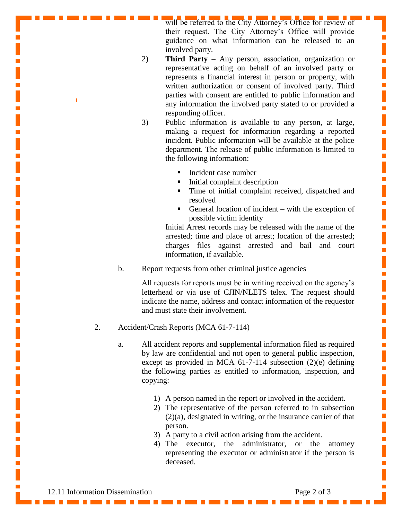will be referred to the City Attorney's Office for review of their request. The City Attorney's Office will provide guidance on what information can be released to an involved party.

П

Ē,

Ē.

Ē

Ē,

Ē,

Ì,

 $\mathbf{r}$ 

Ē,

 $\mathbb{R}^2$ 

Ē.

Ē.

Ì,

Ē,

 $\mathbf{r}$ 

Ē.

Ì,

- 2) **Third Party** Any person, association, organization or representative acting on behalf of an involved party or represents a financial interest in person or property, with written authorization or consent of involved party. Third parties with consent are entitled to public information and any information the involved party stated to or provided a responding officer.
- 3) Public information is available to any person, at large, making a request for information regarding a reported incident. Public information will be available at the police department. The release of public information is limited to the following information:
	- Incident case number
	- $\blacksquare$  Initial complaint description
	- **Time of initial complaint received, dispatched and** resolved
	- General location of incident with the exception of possible victim identity

Initial Arrest records may be released with the name of the arrested; time and place of arrest; location of the arrested; charges files against arrested and bail and court information, if available.

b. Report requests from other criminal justice agencies

All requests for reports must be in writing received on the agency's letterhead or via use of CJIN/NLETS telex. The request should indicate the name, address and contact information of the requestor and must state their involvement.

- 2. Accident/Crash Reports (MCA 61-7-114)
	- a. All accident reports and supplemental information filed as required by law are confidential and not open to general public inspection, except as provided in MCA 61-7-114 subsection (2)(e) defining the following parties as entitled to information, inspection, and copying:
		- 1) A person named in the report or involved in the accident.
		- 2) The representative of the person referred to in subsection (2)(a), designated in writing, or the insurance carrier of that person.
		- 3) A party to a civil action arising from the accident.
		- 4) The executor, the administrator, or the attorney representing the executor or administrator if the person is deceased.